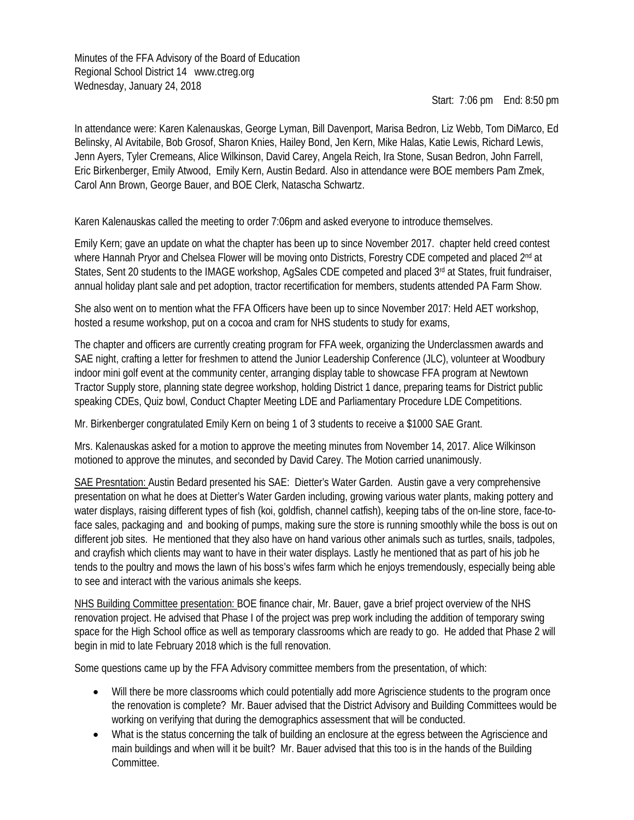Minutes of the FFA Advisory of the Board of Education Regional School District 14 www.ctreg.org Wednesday, January 24, 2018

Start: 7:06 pm End: 8:50 pm

In attendance were: Karen Kalenauskas, George Lyman, Bill Davenport, Marisa Bedron, Liz Webb, Tom DiMarco, Ed Belinsky, Al Avitabile, Bob Grosof, Sharon Knies, Hailey Bond, Jen Kern, Mike Halas, Katie Lewis, Richard Lewis, Jenn Ayers, Tyler Cremeans, Alice Wilkinson, David Carey, Angela Reich, Ira Stone, Susan Bedron, John Farrell, Eric Birkenberger, Emily Atwood, Emily Kern, Austin Bedard. Also in attendance were BOE members Pam Zmek, Carol Ann Brown, George Bauer, and BOE Clerk, Natascha Schwartz.

Karen Kalenauskas called the meeting to order 7:06pm and asked everyone to introduce themselves.

Emily Kern; gave an update on what the chapter has been up to since November 2017. chapter held creed contest where Hannah Pryor and Chelsea Flower will be moving onto Districts, Forestry CDE competed and placed 2<sup>nd</sup> at States, Sent 20 students to the IMAGE workshop, AgSales CDE competed and placed 3<sup>rd</sup> at States, fruit fundraiser, annual holiday plant sale and pet adoption, tractor recertification for members, students attended PA Farm Show.

She also went on to mention what the FFA Officers have been up to since November 2017: Held AET workshop, hosted a resume workshop, put on a cocoa and cram for NHS students to study for exams,

The chapter and officers are currently creating program for FFA week, organizing the Underclassmen awards and SAE night, crafting a letter for freshmen to attend the Junior Leadership Conference (JLC), volunteer at Woodbury indoor mini golf event at the community center, arranging display table to showcase FFA program at Newtown Tractor Supply store, planning state degree workshop, holding District 1 dance, preparing teams for District public speaking CDEs, Quiz bowl, Conduct Chapter Meeting LDE and Parliamentary Procedure LDE Competitions.

Mr. Birkenberger congratulated Emily Kern on being 1 of 3 students to receive a \$1000 SAE Grant.

Mrs. Kalenauskas asked for a motion to approve the meeting minutes from November 14, 2017. Alice Wilkinson motioned to approve the minutes, and seconded by David Carey. The Motion carried unanimously.

SAE Presntation: Austin Bedard presented his SAE: Dietter's Water Garden. Austin gave a very comprehensive presentation on what he does at Dietter's Water Garden including, growing various water plants, making pottery and water displays, raising different types of fish (koi, goldfish, channel catfish), keeping tabs of the on-line store, face-toface sales, packaging and and booking of pumps, making sure the store is running smoothly while the boss is out on different job sites. He mentioned that they also have on hand various other animals such as turtles, snails, tadpoles, and crayfish which clients may want to have in their water displays. Lastly he mentioned that as part of his job he tends to the poultry and mows the lawn of his boss's wifes farm which he enjoys tremendously, especially being able to see and interact with the various animals she keeps.

NHS Building Committee presentation: BOE finance chair, Mr. Bauer, gave a brief project overview of the NHS renovation project. He advised that Phase I of the project was prep work including the addition of temporary swing space for the High School office as well as temporary classrooms which are ready to go. He added that Phase 2 will begin in mid to late February 2018 which is the full renovation.

Some questions came up by the FFA Advisory committee members from the presentation, of which:

- Will there be more classrooms which could potentially add more Agriscience students to the program once the renovation is complete? Mr. Bauer advised that the District Advisory and Building Committees would be working on verifying that during the demographics assessment that will be conducted.
- What is the status concerning the talk of building an enclosure at the egress between the Agriscience and main buildings and when will it be built? Mr. Bauer advised that this too is in the hands of the Building Committee.